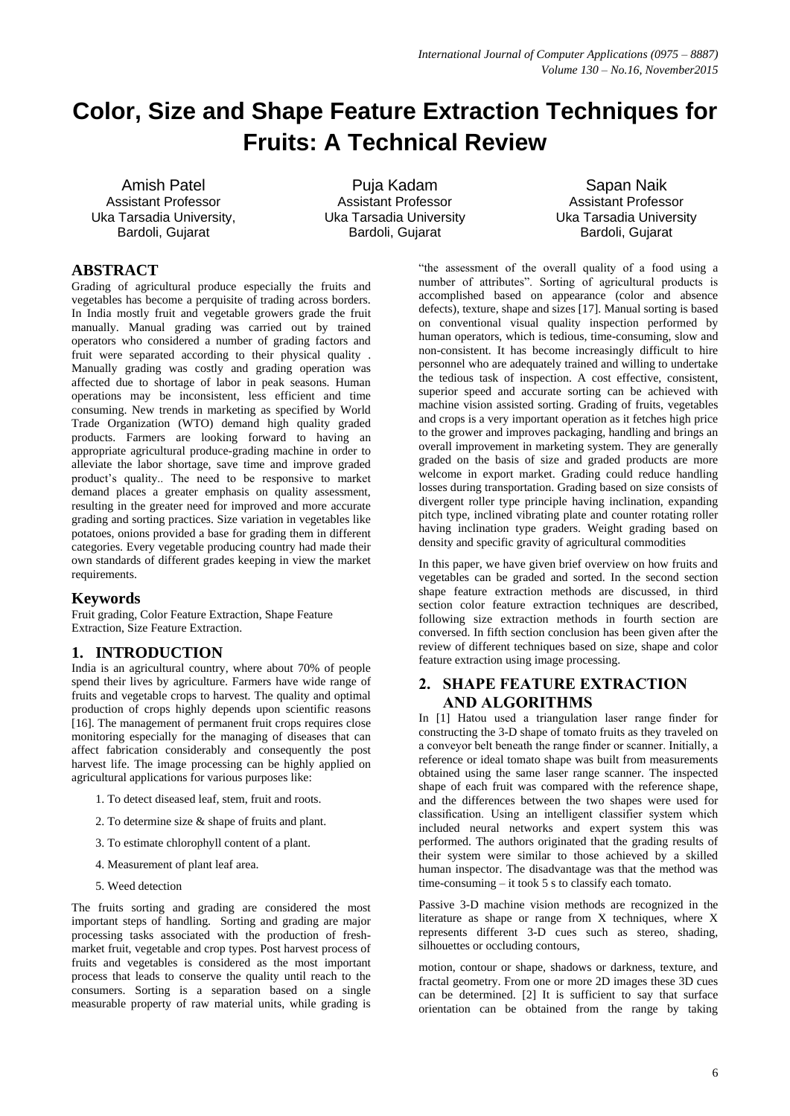# **Color, Size and Shape Feature Extraction Techniques for Fruits: A Technical Review**

Amish Patel Assistant Professor Uka Tarsadia University, Bardoli, Gujarat

Puja Kadam Assistant Professor Uka Tarsadia University Bardoli, Gujarat

Sapan Naik Assistant Professor Uka Tarsadia University Bardoli, Gujarat

## **ABSTRACT**

Grading of agricultural produce especially the fruits and vegetables has become a perquisite of trading across borders. In India mostly fruit and vegetable growers grade the fruit manually. Manual grading was carried out by trained operators who considered a number of grading factors and fruit were separated according to their physical quality . Manually grading was costly and grading operation was affected due to shortage of labor in peak seasons. Human operations may be inconsistent, less efficient and time consuming. New trends in marketing as specified by World Trade Organization (WTO) demand high quality graded products. Farmers are looking forward to having an appropriate agricultural produce-grading machine in order to alleviate the labor shortage, save time and improve graded product"s quality.. The need to be responsive to market demand places a greater emphasis on quality assessment, resulting in the greater need for improved and more accurate grading and sorting practices. Size variation in vegetables like potatoes, onions provided a base for grading them in different categories. Every vegetable producing country had made their own standards of different grades keeping in view the market requirements.

## **Keywords**

Fruit grading, Color Feature Extraction, Shape Feature Extraction, Size Feature Extraction.

## **1. INTRODUCTION**

India is an agricultural country, where about 70% of people spend their lives by agriculture. Farmers have wide range of fruits and vegetable crops to harvest. The quality and optimal production of crops highly depends upon scientific reasons [16]. The management of permanent fruit crops requires close monitoring especially for the managing of diseases that can affect fabrication considerably and consequently the post harvest life. The image processing can be highly applied on agricultural applications for various purposes like:

- 1. To detect diseased leaf, stem, fruit and roots.
- 2. To determine size & shape of fruits and plant.
- 3. To estimate chlorophyll content of a plant.
- 4. Measurement of plant leaf area.
- 5. Weed detection

The fruits sorting and grading are considered the most important steps of handling. Sorting and grading are major processing tasks associated with the production of freshmarket fruit, vegetable and crop types. Post harvest process of fruits and vegetables is considered as the most important process that leads to conserve the quality until reach to the consumers. Sorting is a separation based on a single measurable property of raw material units, while grading is

"the assessment of the overall quality of a food using a number of attributes". Sorting of agricultural products is accomplished based on appearance (color and absence defects), texture, shape and sizes [17]. Manual sorting is based on conventional visual quality inspection performed by human operators, which is tedious, time-consuming, slow and non-consistent. It has become increasingly difficult to hire personnel who are adequately trained and willing to undertake the tedious task of inspection. A cost effective, consistent, superior speed and accurate sorting can be achieved with machine vision assisted sorting. Grading of fruits, vegetables and crops is a very important operation as it fetches high price to the grower and improves packaging, handling and brings an overall improvement in marketing system. They are generally graded on the basis of size and graded products are more welcome in export market. Grading could reduce handling losses during transportation. Grading based on size consists of divergent roller type principle having inclination, expanding pitch type, inclined vibrating plate and counter rotating roller having inclination type graders. Weight grading based on density and specific gravity of agricultural commodities

In this paper, we have given brief overview on how fruits and vegetables can be graded and sorted. In the second section shape feature extraction methods are discussed, in third section color feature extraction techniques are described, following size extraction methods in fourth section are conversed. In fifth section conclusion has been given after the review of different techniques based on size, shape and color feature extraction using image processing.

## **2. SHAPE FEATURE EXTRACTION AND ALGORITHMS**

In [1] Hatou used a triangulation laser range finder for constructing the 3-D shape of tomato fruits as they traveled on a conveyor belt beneath the range finder or scanner. Initially, a reference or ideal tomato shape was built from measurements obtained using the same laser range scanner. The inspected shape of each fruit was compared with the reference shape, and the differences between the two shapes were used for classification. Using an intelligent classifier system which included neural networks and expert system this was performed. The authors originated that the grading results of their system were similar to those achieved by a skilled human inspector. The disadvantage was that the method was time-consuming – it took 5 s to classify each tomato.

Passive 3-D machine vision methods are recognized in the literature as shape or range from X techniques, where X represents different 3-D cues such as stereo, shading, silhouettes or occluding contours,

motion, contour or shape, shadows or darkness, texture, and fractal geometry. From one or more 2D images these 3D cues can be determined. [2] It is sufficient to say that surface orientation can be obtained from the range by taking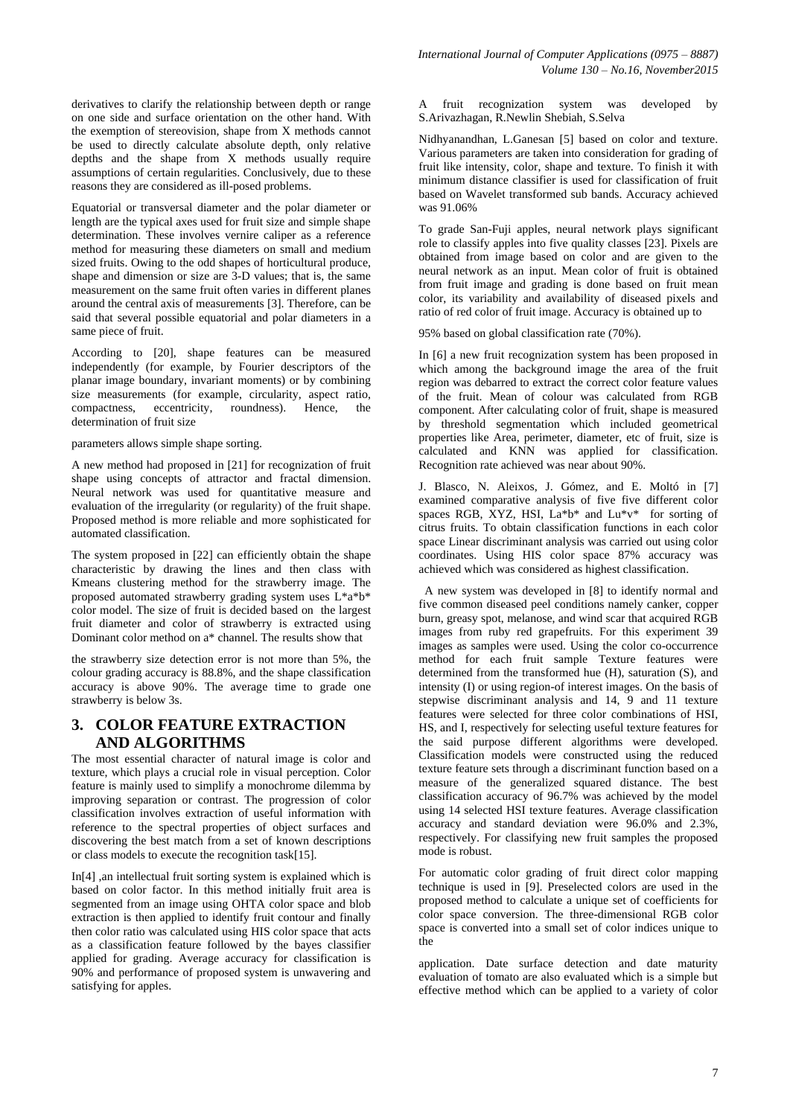derivatives to clarify the relationship between depth or range on one side and surface orientation on the other hand. With the exemption of stereovision, shape from X methods cannot be used to directly calculate absolute depth, only relative depths and the shape from X methods usually require assumptions of certain regularities. Conclusively, due to these reasons they are considered as ill-posed problems.

Equatorial or transversal diameter and the polar diameter or length are the typical axes used for fruit size and simple shape determination. These involves vernire caliper as a reference method for measuring these diameters on small and medium sized fruits. Owing to the odd shapes of horticultural produce, shape and dimension or size are 3-D values; that is, the same measurement on the same fruit often varies in different planes around the central axis of measurements [3]. Therefore, can be said that several possible equatorial and polar diameters in a same piece of fruit.

According to [20], shape features can be measured independently (for example, by Fourier descriptors of the planar image boundary, invariant moments) or by combining size measurements (for example, circularity, aspect ratio, compactness, eccentricity, roundness). Hence, the determination of fruit size

parameters allows simple shape sorting.

A new method had proposed in [21] for recognization of fruit shape using concepts of attractor and fractal dimension. Neural network was used for quantitative measure and evaluation of the irregularity (or regularity) of the fruit shape. Proposed method is more reliable and more sophisticated for automated classification.

The system proposed in [22] can efficiently obtain the shape characteristic by drawing the lines and then class with Kmeans clustering method for the strawberry image. The proposed automated strawberry grading system uses L\*a\*b\* color model. The size of fruit is decided based on the largest fruit diameter and color of strawberry is extracted using Dominant color method on a\* channel. The results show that

the strawberry size detection error is not more than 5%, the colour grading accuracy is 88.8%, and the shape classification accuracy is above 90%. The average time to grade one strawberry is below 3s.

## **3. COLOR FEATURE EXTRACTION AND ALGORITHMS**

The most essential character of natural image is color and texture, which plays a crucial role in visual perception. Color feature is mainly used to simplify a monochrome dilemma by improving separation or contrast. The progression of color classification involves extraction of useful information with reference to the spectral properties of object surfaces and discovering the best match from a set of known descriptions or class models to execute the recognition task[15].

In[4] ,an intellectual fruit sorting system is explained which is based on color factor. In this method initially fruit area is segmented from an image using OHTA color space and blob extraction is then applied to identify fruit contour and finally then color ratio was calculated using HIS color space that acts as a classification feature followed by the bayes classifier applied for grading. Average accuracy for classification is 90% and performance of proposed system is unwavering and satisfying for apples.

A fruit recognization system was developed by S.Arivazhagan, R.Newlin Shebiah, S.Selva

Nidhyanandhan, L.Ganesan [5] based on color and texture. Various parameters are taken into consideration for grading of fruit like intensity, color, shape and texture. To finish it with minimum distance classifier is used for classification of fruit based on Wavelet transformed sub bands. Accuracy achieved was 91.06%

To grade San-Fuji apples, neural network plays significant role to classify apples into five quality classes [23]. Pixels are obtained from image based on color and are given to the neural network as an input. Mean color of fruit is obtained from fruit image and grading is done based on fruit mean color, its variability and availability of diseased pixels and ratio of red color of fruit image. Accuracy is obtained up to

95% based on global classification rate (70%).

In [6] a new fruit recognization system has been proposed in which among the background image the area of the fruit region was debarred to extract the correct color feature values of the fruit. Mean of colour was calculated from RGB component. After calculating color of fruit, shape is measured by threshold segmentation which included geometrical properties like Area, perimeter, diameter, etc of fruit, size is calculated and KNN was applied for classification. Recognition rate achieved was near about 90%.

J. Blasco, N. Aleixos, J. Gómez, and E. Moltó in [7] examined comparative analysis of five five different color spaces RGB, XYZ, HSI,  $La^*b^*$  and  $Lu^*v^*$  for sorting of citrus fruits. To obtain classification functions in each color space Linear discriminant analysis was carried out using color coordinates. Using HIS color space 87% accuracy was achieved which was considered as highest classification.

A new system was developed in [8] to identify normal and five common diseased peel conditions namely canker, copper burn, greasy spot, melanose, and wind scar that acquired RGB images from ruby red grapefruits. For this experiment 39 images as samples were used. Using the color co-occurrence method for each fruit sample Texture features were determined from the transformed hue (H), saturation (S), and intensity (I) or using region-of interest images. On the basis of stepwise discriminant analysis and 14, 9 and 11 texture features were selected for three color combinations of HSI, HS, and I, respectively for selecting useful texture features for the said purpose different algorithms were developed. Classification models were constructed using the reduced texture feature sets through a discriminant function based on a measure of the generalized squared distance. The best classification accuracy of 96.7% was achieved by the model using 14 selected HSI texture features. Average classification accuracy and standard deviation were 96.0% and 2.3%, respectively. For classifying new fruit samples the proposed mode is robust.

For automatic color grading of fruit direct color mapping technique is used in [9]. Preselected colors are used in the proposed method to calculate a unique set of coefficients for color space conversion. The three-dimensional RGB color space is converted into a small set of color indices unique to the

application. Date surface detection and date maturity evaluation of tomato are also evaluated which is a simple but effective method which can be applied to a variety of color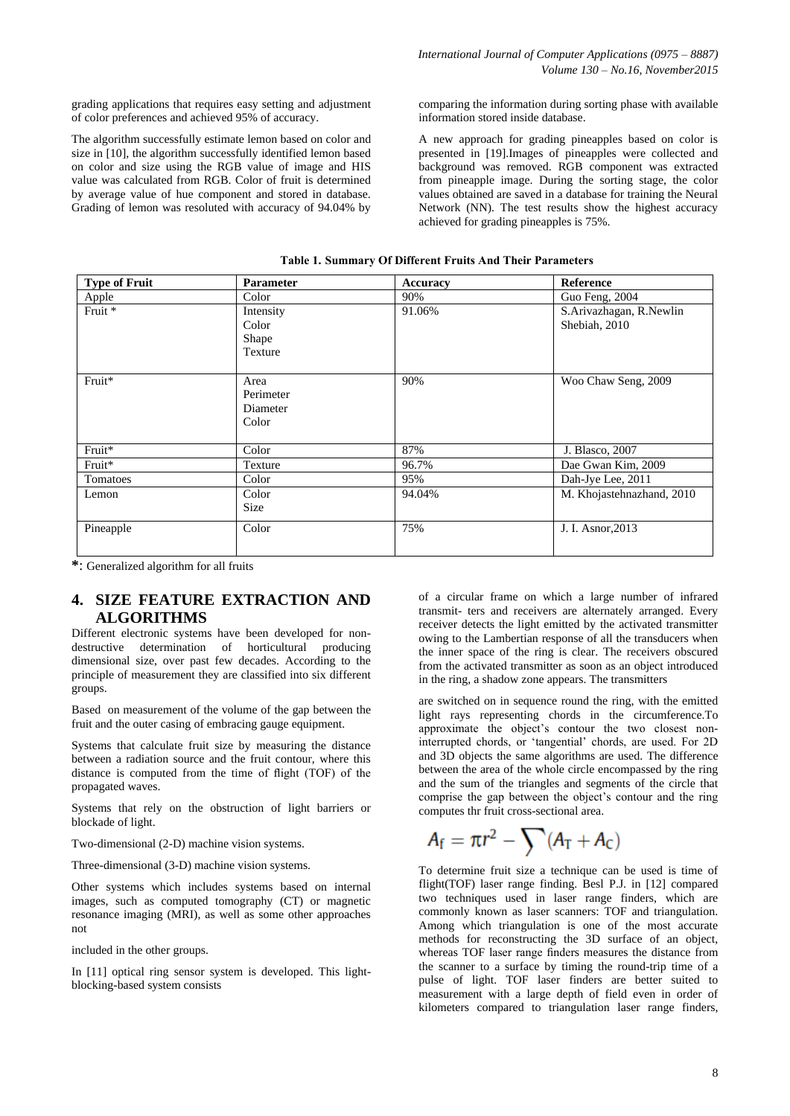grading applications that requires easy setting and adjustment of color preferences and achieved 95% of accuracy.

The algorithm successfully estimate lemon based on color and size in [10], the algorithm successfully identified lemon based on color and size using the RGB value of image and HIS value was calculated from RGB. Color of fruit is determined by average value of hue component and stored in database. Grading of lemon was resoluted with accuracy of 94.04% by

comparing the information during sorting phase with available information stored inside database.

A new approach for grading pineapples based on color is presented in [19].Images of pineapples were collected and background was removed. RGB component was extracted from pineapple image. During the sorting stage, the color values obtained are saved in a database for training the Neural Network (NN). The test results show the highest accuracy achieved for grading pineapples is 75%.

| <b>Type of Fruit</b> | <b>Parameter</b>                       | <b>Accuracy</b> | <b>Reference</b>                         |
|----------------------|----------------------------------------|-----------------|------------------------------------------|
| Apple                | Color                                  | 90%             | Guo Feng, 2004                           |
| Fruit *              | Intensity<br>Color<br>Shape<br>Texture | 91.06%          | S.Arivazhagan, R.Newlin<br>Shebiah, 2010 |
| Fruit*               | Area<br>Perimeter<br>Diameter<br>Color | 90%             | Woo Chaw Seng, 2009                      |
| Fruit*               | Color                                  | 87%             | J. Blasco, 2007                          |
| Fruit*               | Texture                                | 96.7%           | Dae Gwan Kim, 2009                       |
| Tomatoes             | Color                                  | 95%             | Dah-Jye Lee, 2011                        |
| Lemon                | Color<br>Size                          | 94.04%          | M. Khojastehnazhand, 2010                |
| Pineapple            | Color                                  | 75%             | J. I. Asnor, 2013                        |

**Table 1. Summary Of Different Fruits And Their Parameters**

**\***: Generalized algorithm for all fruits

## **4. SIZE FEATURE EXTRACTION AND ALGORITHMS**

Different electronic systems have been developed for nondestructive determination of horticultural producing dimensional size, over past few decades. According to the principle of measurement they are classified into six different groups.

Based on measurement of the volume of the gap between the fruit and the outer casing of embracing gauge equipment.

Systems that calculate fruit size by measuring the distance between a radiation source and the fruit contour, where this distance is computed from the time of flight (TOF) of the propagated waves.

Systems that rely on the obstruction of light barriers or blockade of light.

Two-dimensional (2-D) machine vision systems.

Three-dimensional (3-D) machine vision systems.

Other systems which includes systems based on internal images, such as computed tomography (CT) or magnetic resonance imaging (MRI), as well as some other approaches not

included in the other groups.

In [11] optical ring sensor system is developed. This lightblocking-based system consists

of a circular frame on which a large number of infrared transmit- ters and receivers are alternately arranged. Every receiver detects the light emitted by the activated transmitter owing to the Lambertian response of all the transducers when the inner space of the ring is clear. The receivers obscured from the activated transmitter as soon as an object introduced in the ring, a shadow zone appears. The transmitters

are switched on in sequence round the ring, with the emitted light rays representing chords in the circumference.To approximate the object's contour the two closest noninterrupted chords, or "tangential" chords, are used. For 2D and 3D objects the same algorithms are used. The difference between the area of the whole circle encompassed by the ring and the sum of the triangles and segments of the circle that comprise the gap between the object"s contour and the ring computes thr fruit cross-sectional area.

$$
A_{\rm f} = \pi r^2 - \sum (A_{\rm T} + A_{\rm C})
$$

To determine fruit size a technique can be used is time of flight(TOF) laser range finding. Besl P.J. in [12] compared two techniques used in laser range finders, which are commonly known as laser scanners: TOF and triangulation. Among which triangulation is one of the most accurate methods for reconstructing the 3D surface of an object, whereas TOF laser range finders measures the distance from the scanner to a surface by timing the round-trip time of a pulse of light. TOF laser finders are better suited to measurement with a large depth of field even in order of kilometers compared to triangulation laser range finders,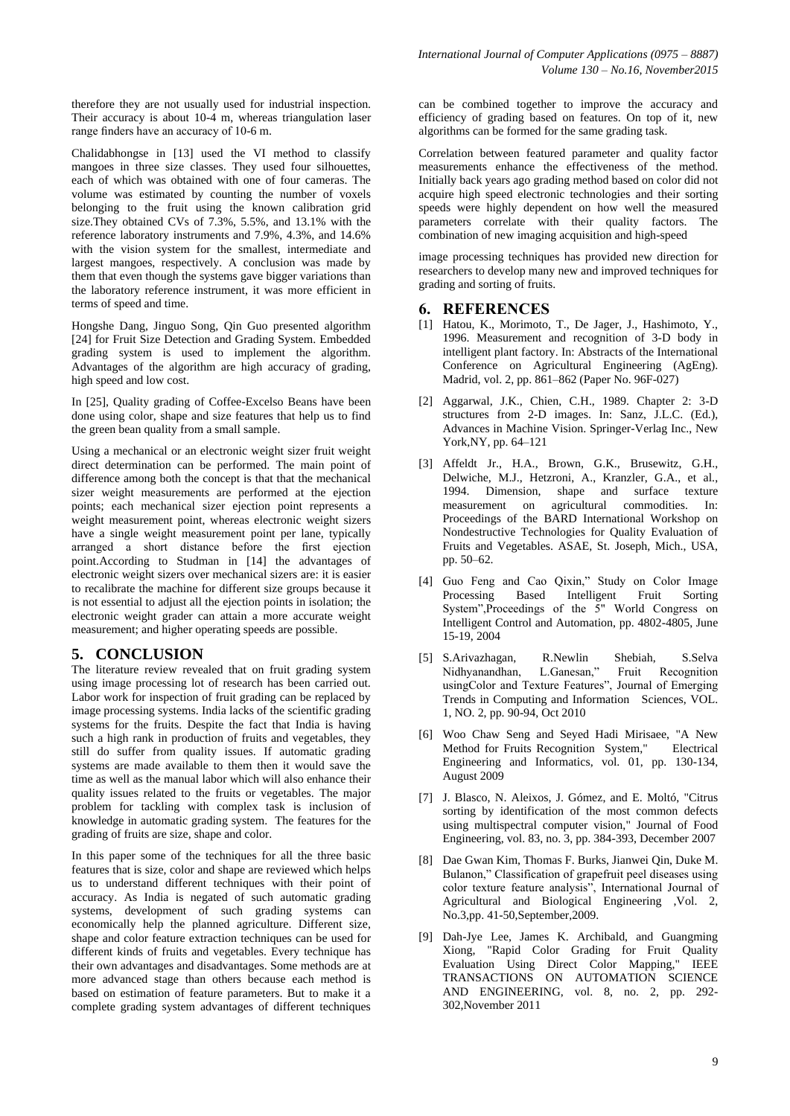therefore they are not usually used for industrial inspection. Their accuracy is about 10-4 m, whereas triangulation laser range finders have an accuracy of 10-6 m.

Chalidabhongse in [13] used the VI method to classify mangoes in three size classes. They used four silhouettes, each of which was obtained with one of four cameras. The volume was estimated by counting the number of voxels belonging to the fruit using the known calibration grid size.They obtained CVs of 7.3%, 5.5%, and 13.1% with the reference laboratory instruments and 7.9%, 4.3%, and 14.6% with the vision system for the smallest, intermediate and largest mangoes, respectively. A conclusion was made by them that even though the systems gave bigger variations than the laboratory reference instrument, it was more efficient in terms of speed and time.

Hongshe Dang, Jinguo Song, Qin Guo presented algorithm [24] for Fruit Size Detection and Grading System. Embedded grading system is used to implement the algorithm. Advantages of the algorithm are high accuracy of grading, high speed and low cost.

In [25], Quality grading of Coffee-Excelso Beans have been done using color, shape and size features that help us to find the green bean quality from a small sample.

Using a mechanical or an electronic weight sizer fruit weight direct determination can be performed. The main point of difference among both the concept is that that the mechanical sizer weight measurements are performed at the ejection points; each mechanical sizer ejection point represents a weight measurement point, whereas electronic weight sizers have a single weight measurement point per lane, typically arranged a short distance before the first ejection point.According to Studman in [14] the advantages of electronic weight sizers over mechanical sizers are: it is easier to recalibrate the machine for different size groups because it is not essential to adjust all the ejection points in isolation; the electronic weight grader can attain a more accurate weight measurement; and higher operating speeds are possible.

## **5. CONCLUSION**

The literature review revealed that on fruit grading system using image processing lot of research has been carried out. Labor work for inspection of fruit grading can be replaced by image processing systems. India lacks of the scientific grading systems for the fruits. Despite the fact that India is having such a high rank in production of fruits and vegetables, they still do suffer from quality issues. If automatic grading systems are made available to them then it would save the time as well as the manual labor which will also enhance their quality issues related to the fruits or vegetables. The major problem for tackling with complex task is inclusion of knowledge in automatic grading system. The features for the grading of fruits are size, shape and color.

In this paper some of the techniques for all the three basic features that is size, color and shape are reviewed which helps us to understand different techniques with their point of accuracy. As India is negated of such automatic grading systems, development of such grading systems can economically help the planned agriculture. Different size, shape and color feature extraction techniques can be used for different kinds of fruits and vegetables. Every technique has their own advantages and disadvantages. Some methods are at more advanced stage than others because each method is based on estimation of feature parameters. But to make it a complete grading system advantages of different techniques

can be combined together to improve the accuracy and efficiency of grading based on features. On top of it, new algorithms can be formed for the same grading task.

Correlation between featured parameter and quality factor measurements enhance the effectiveness of the method. Initially back years ago grading method based on color did not acquire high speed electronic technologies and their sorting speeds were highly dependent on how well the measured parameters correlate with their quality factors. The combination of new imaging acquisition and high-speed

image processing techniques has provided new direction for researchers to develop many new and improved techniques for grading and sorting of fruits.

#### **6. REFERENCES**

- [1] Hatou, K., Morimoto, T., De Jager, J., Hashimoto, Y., 1996. Measurement and recognition of 3-D body in intelligent plant factory. In: Abstracts of the International Conference on Agricultural Engineering (AgEng). Madrid, vol. 2, pp. 861–862 (Paper No. 96F-027)
- [2] Aggarwal, J.K., Chien, C.H., 1989. Chapter 2: 3-D structures from 2-D images. In: Sanz, J.L.C. (Ed.), Advances in Machine Vision. Springer-Verlag Inc., New York,NY, pp. 64–121
- [3] Affeldt Jr., H.A., Brown, G.K., Brusewitz, G.H., Delwiche, M.J., Hetzroni, A., Kranzler, G.A., et al., 1994. Dimension, shape and surface texture measurement on agricultural commodities. In: Proceedings of the BARD International Workshop on Nondestructive Technologies for Quality Evaluation of Fruits and Vegetables. ASAE, St. Joseph, Mich., USA, pp. 50–62.
- [4] Guo Feng and Cao Qixin," Study on Color Image Processing Based Intelligent Fruit Sorting System",Proceedings of the 5" World Congress on Intelligent Control and Automation, pp. 4802-4805, June 15-19, 2004
- [5] S.Arivazhagan, R.Newlin Shebiah, S.Selva Nidhyanandhan, L.Ganesan," Fruit Recognition usingColor and Texture Features", Journal of Emerging Trends in Computing and Information Sciences, VOL. 1, NO. 2, pp. 90-94, Oct 2010
- [6] Woo Chaw Seng and Seyed Hadi Mirisaee, "A New Method for Fruits Recognition System," Electrical Engineering and Informatics, vol. 01, pp. 130-134, August 2009
- [7] J. Blasco, N. Aleixos, J. Gómez, and E. Moltó, "Citrus sorting by identification of the most common defects using multispectral computer vision," Journal of Food Engineering, vol. 83, no. 3, pp. 384-393, December 2007
- [8] Dae Gwan Kim, Thomas F. Burks, Jianwei Qin, Duke M. Bulanon," Classification of grapefruit peel diseases using color texture feature analysis", International Journal of Agricultural and Biological Engineering ,Vol. 2, No.3,pp. 41-50,September,2009.
- [9] Dah-Jye Lee, James K. Archibald, and Guangming Xiong, "Rapid Color Grading for Fruit Quality Evaluation Using Direct Color Mapping," IEEE TRANSACTIONS ON AUTOMATION SCIENCE AND ENGINEERING, vol. 8, no. 2, pp. 292- 302,November 2011